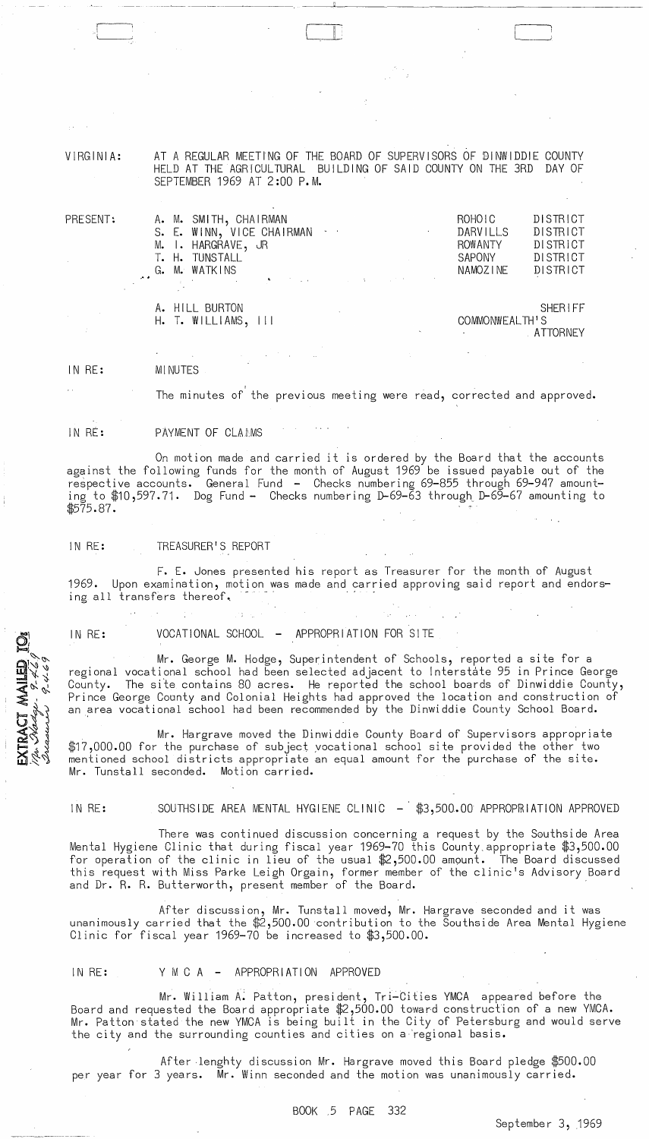VIRGINIA: AT A REGULAR MEETING OF THE BOARD OF SUPERVISORS OF DINWIDDIE COUNTY HELD AT THE AGRICULTURAL BUILDING OF SAID COUNTY ON THE 3RD DAY OF SEPTEMBER 1969 AT 2:00 P.M.

 $\Box$ 

| PRESENT: | A. M. SMITH, CHAIRMAN<br>S. E. WINN, VICE CHAIRMAN<br>M. I. HARGRAVE, JR<br>T. H. TUNSTALL<br>G. M. WATKINS<br>and the control of the state of the state of the state of the state of the | ROHOIC<br><b>DARVILLS</b><br><b>ROWANTY</b><br><b>SAPONY</b><br>NAMOZINE | <b>DISTRICT</b><br>DISTRICT<br>DISTRICT<br>DISTRICT<br>DISTRICT |
|----------|-------------------------------------------------------------------------------------------------------------------------------------------------------------------------------------------|--------------------------------------------------------------------------|-----------------------------------------------------------------|
|          | A. HILL BURTON<br>$H.$ T. WILLIAMS, III                                                                                                                                                   | COMMONWEALTH'S                                                           | SHERIFF<br>ATTORNEY                                             |

IN RE: MINUTES

> , The minutes of the previous meeting were read, corrected and approved.

IN RE: PAYMENT OF CLAAMS

On motion made and carried it is ordered by the Board that the accounts against the following funds for the month of August 1969 be issued payable out of the respective accounts. General Fund - Checks numbering 69-855 through 69-947 amounting to \$10,597.71. Dog Fund - Checks numbering D-69-63 through D-69-67 amounting to \$575.87.

### IN RE: TREASURER'S REPORT

F. E. Jones presented his report as Treasurer for the month of August 1969. Upon examination, motion was made and carried approving said report and endorsing all transfers thereof.

IN RE: VOCATIONAL SCHOOL - APPROPRIATION FOR SITE

Mr. George M. Hodge, Superintendent of Schools, reported a site for a regional vocational school had been selected adjacent to Interstate 95 in Prince George County. The site contains 80 acres. He reported the school boards of Dinwiddie County, Prince George County and Colonial Heights had approved the location and construction of an area vocational school had been recommended by the Dinwiddie County School Board.

Mr. Hargrave moved the Dinwiddie County Board of Supervisors appropriate \$17,000.00 for the purchase of subject yocational school site provided the other two mentioned school districts appropriate an equal amount for the purchase of the site. Mr. Tunstall seconded. Motion carried.

RACT MAILED<br>*Aladers 9.469* 

### IN RE: SOUTHSIDE AREA MENTAL HYGIENE CLINIC - \$3,500.00 APPROPRIATION APPROVED

There was continued discussion concerning a request by the Southside Area Mental Hygiene Clinic that during fiscal year 1969-70 this County. appropriate \$3,500.00 for operation of the clinic in lieu of the usual \$2,500.00 amount. The Board discussed this request with Miss Parke Leigh Orgain, former member of the clinic's Advisory Board and Dr. R. R. Butterworth, present member of the Board.

After discussion, Mr. Tunstall moved, Mr. Hargrave seconded and it was unanimously carried that the \$2,500.00 contribution to the Southside Area Mental Hygiene Clinic for fiscal year 1969-70 be increased to \$3,500.00.

### IN RE: Y M C A - APPROPRIATION APPROVED

Mr. William A. Patton, president, Tri-Cities YMCA appeared before the Board and requested the Board appropriate \$2,500.00 toward construction of a new YMCA. Mr. Patton stated the new YMCA is being built in the City of Petersburg and would serve the city and the surrounding counties and cities on a 'regional basis.

After lenghty discussion Mr. Hargrave moved this Board pledge \$500.00 per year for 3 years. Mr. Winn seconded and the motion was unanimously carried.